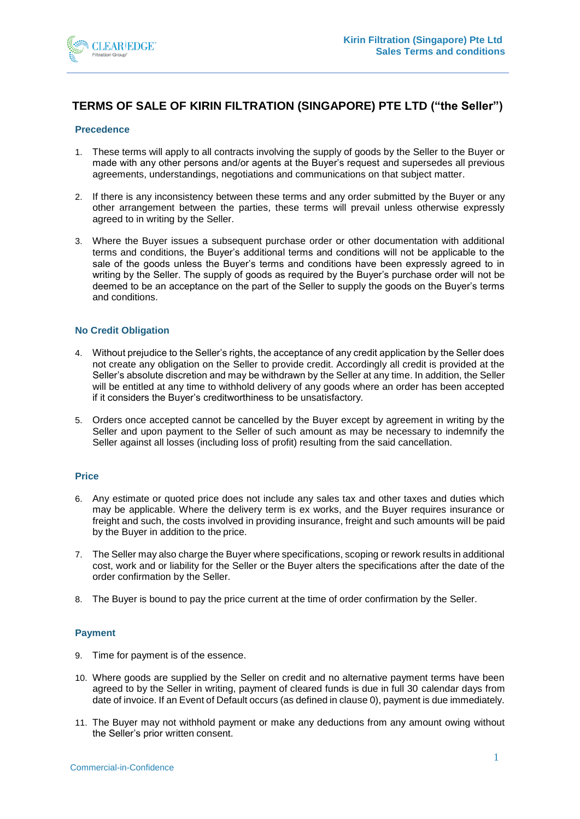

# **TERMS OF SALE OF KIRIN FILTRATION (SINGAPORE) PTE LTD ("the Seller")**

## **Precedence**

- 1. These terms will apply to all contracts involving the supply of goods by the Seller to the Buyer or made with any other persons and/or agents at the Buyer's request and supersedes all previous agreements, understandings, negotiations and communications on that subject matter.
- 2. If there is any inconsistency between these terms and any order submitted by the Buyer or any other arrangement between the parties, these terms will prevail unless otherwise expressly agreed to in writing by the Seller.
- 3. Where the Buyer issues a subsequent purchase order or other documentation with additional terms and conditions, the Buyer's additional terms and conditions will not be applicable to the sale of the goods unless the Buyer's terms and conditions have been expressly agreed to in writing by the Seller. The supply of goods as required by the Buyer's purchase order will not be deemed to be an acceptance on the part of the Seller to supply the goods on the Buyer's terms and conditions.

#### **No Credit Obligation**

- 4. Without prejudice to the Seller's rights, the acceptance of any credit application by the Seller does not create any obligation on the Seller to provide credit. Accordingly all credit is provided at the Seller's absolute discretion and may be withdrawn by the Seller at any time. In addition, the Seller will be entitled at any time to withhold delivery of any goods where an order has been accepted if it considers the Buyer's creditworthiness to be unsatisfactory.
- 5. Orders once accepted cannot be cancelled by the Buyer except by agreement in writing by the Seller and upon payment to the Seller of such amount as may be necessary to indemnify the Seller against all losses (including loss of profit) resulting from the said cancellation.

## **Price**

- 6. Any estimate or quoted price does not include any sales tax and other taxes and duties which may be applicable. Where the delivery term is ex works, and the Buyer requires insurance or freight and such, the costs involved in providing insurance, freight and such amounts will be paid by the Buyer in addition to the price.
- 7. The Seller may also charge the Buyer where specifications, scoping or rework results in additional cost, work and or liability for the Seller or the Buyer alters the specifications after the date of the order confirmation by the Seller.
- 8. The Buyer is bound to pay the price current at the time of order confirmation by the Seller.

## **Payment**

- 9. Time for payment is of the essence.
- 10. Where goods are supplied by the Seller on credit and no alternative payment terms have been agreed to by the Seller in writing, payment of cleared funds is due in full 30 calendar days from date of invoice. If an Event of Default occurs (as defined in claus[e 0\)](#page-3-0), payment is due immediately.
- 11. The Buyer may not withhold payment or make any deductions from any amount owing without the Seller's prior written consent.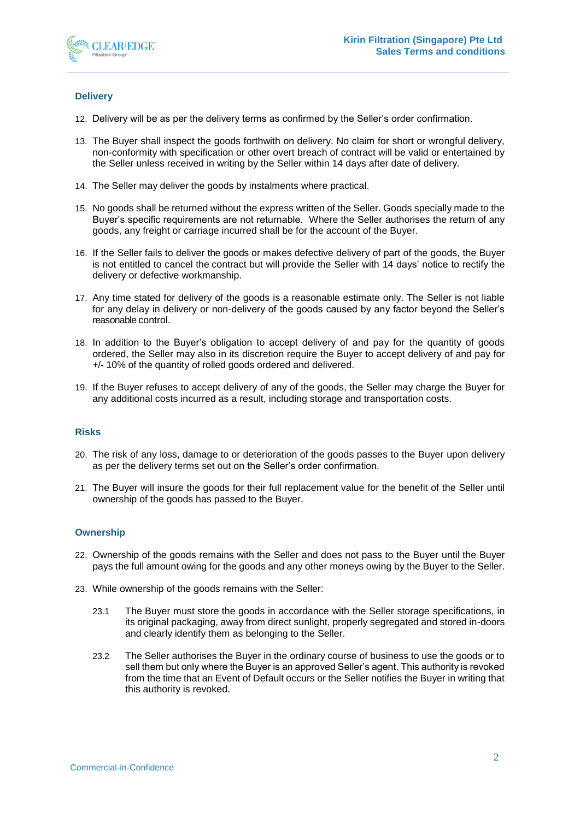

# **Delivery**

- 12. Delivery will be as per the delivery terms as confirmed by the Seller's order confirmation.
- 13. The Buyer shall inspect the goods forthwith on delivery. No claim for short or wrongful delivery, non-conformity with specification or other overt breach of contract will be valid or entertained by the Seller unless received in writing by the Seller within 14 days after date of delivery.
- 14. The Seller may deliver the goods by instalments where practical.
- 15. No goods shall be returned without the express written of the Seller. Goods specially made to the Buyer's specific requirements are not returnable. Where the Seller authorises the return of any goods, any freight or carriage incurred shall be for the account of the Buyer.
- 16. If the Seller fails to deliver the goods or makes defective delivery of part of the goods, the Buyer is not entitled to cancel the contract but will provide the Seller with 14 days' notice to rectify the delivery or defective workmanship.
- 17. Any time stated for delivery of the goods is a reasonable estimate only. The Seller is not liable for any delay in delivery or non-delivery of the goods caused by any factor beyond the Seller's reasonable control.
- 18. In addition to the Buyer's obligation to accept delivery of and pay for the quantity of goods ordered, the Seller may also in its discretion require the Buyer to accept delivery of and pay for +/- 10% of the quantity of rolled goods ordered and delivered.
- 19. If the Buyer refuses to accept delivery of any of the goods, the Seller may charge the Buyer for any additional costs incurred as a result, including storage and transportation costs.

## **Risks**

- 20. The risk of any loss, damage to or deterioration of the goods passes to the Buyer upon delivery as per the delivery terms set out on the Seller's order confirmation.
- 21. The Buyer will insure the goods for their full replacement value for the benefit of the Seller until ownership of the goods has passed to the Buyer.

## **Ownership**

- 22. Ownership of the goods remains with the Seller and does not pass to the Buyer until the Buyer pays the full amount owing for the goods and any other moneys owing by the Buyer to the Seller.
- 23. While ownership of the goods remains with the Seller:
	- 23.1 The Buyer must store the goods in accordance with the Seller storage specifications, in its original packaging, away from direct sunlight, properly segregated and stored in-doors and clearly identify them as belonging to the Seller.
	- 23.2 The Seller authorises the Buyer in the ordinary course of business to use the goods or to sell them but only where the Buyer is an approved Seller's agent. This authority is revoked from the time that an Event of Default occurs or the Seller notifies the Buyer in writing that this authority is revoked.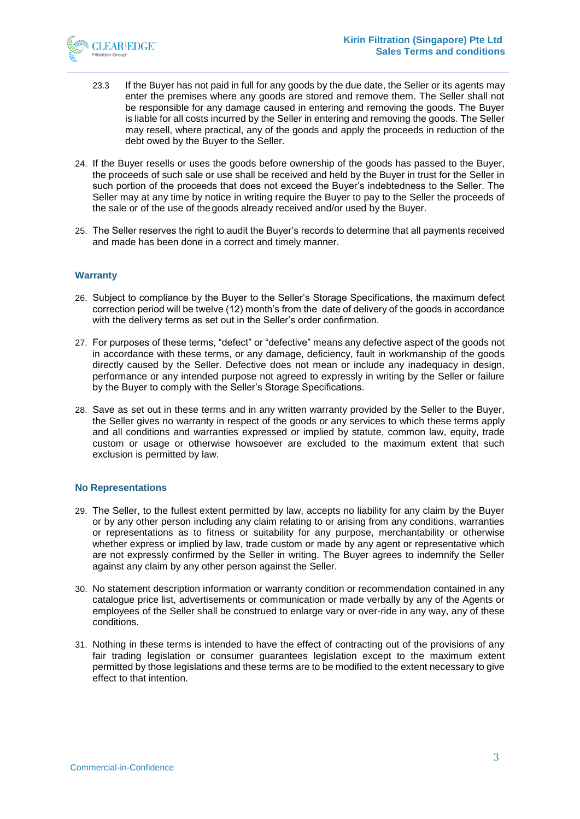

- 23.3 If the Buyer has not paid in full for any goods by the due date, the Seller or its agents may enter the premises where any goods are stored and remove them. The Seller shall not be responsible for any damage caused in entering and removing the goods. The Buyer is liable for all costs incurred by the Seller in entering and removing the goods. The Seller may resell, where practical, any of the goods and apply the proceeds in reduction of the debt owed by the Buyer to the Seller.
- 24. If the Buyer resells or uses the goods before ownership of the goods has passed to the Buyer, the proceeds of such sale or use shall be received and held by the Buyer in trust for the Seller in such portion of the proceeds that does not exceed the Buyer's indebtedness to the Seller. The Seller may at any time by notice in writing require the Buyer to pay to the Seller the proceeds of the sale or of the use of the goods already received and/or used by the Buyer.
- 25. The Seller reserves the right to audit the Buyer's records to determine that all payments received and made has been done in a correct and timely manner.

## **Warranty**

- 26. Subject to compliance by the Buyer to the Seller's Storage Specifications, the maximum defect correction period will be twelve (12) month's from the date of delivery of the goods in accordance with the delivery terms as set out in the Seller's order confirmation.
- 27. For purposes of these terms, "defect" or "defective" means any defective aspect of the goods not in accordance with these terms, or any damage, deficiency, fault in workmanship of the goods directly caused by the Seller. Defective does not mean or include any inadequacy in design, performance or any intended purpose not agreed to expressly in writing by the Seller or failure by the Buyer to comply with the Seller's Storage Specifications.
- 28. Save as set out in these terms and in any written warranty provided by the Seller to the Buyer, the Seller gives no warranty in respect of the goods or any services to which these terms apply and all conditions and warranties expressed or implied by statute, common law, equity, trade custom or usage or otherwise howsoever are excluded to the maximum extent that such exclusion is permitted by law.

## **No Representations**

- 29. The Seller, to the fullest extent permitted by law, accepts no liability for any claim by the Buyer or by any other person including any claim relating to or arising from any conditions, warranties or representations as to fitness or suitability for any purpose, merchantability or otherwise whether express or implied by law, trade custom or made by any agent or representative which are not expressly confirmed by the Seller in writing. The Buyer agrees to indemnify the Seller against any claim by any other person against the Seller.
- 30. No statement description information or warranty condition or recommendation contained in any catalogue price list, advertisements or communication or made verbally by any of the Agents or employees of the Seller shall be construed to enlarge vary or over-ride in any way, any of these conditions.
- 31. Nothing in these terms is intended to have the effect of contracting out of the provisions of any fair trading legislation or consumer guarantees legislation except to the maximum extent permitted by those legislations and these terms are to be modified to the extent necessary to give effect to that intention.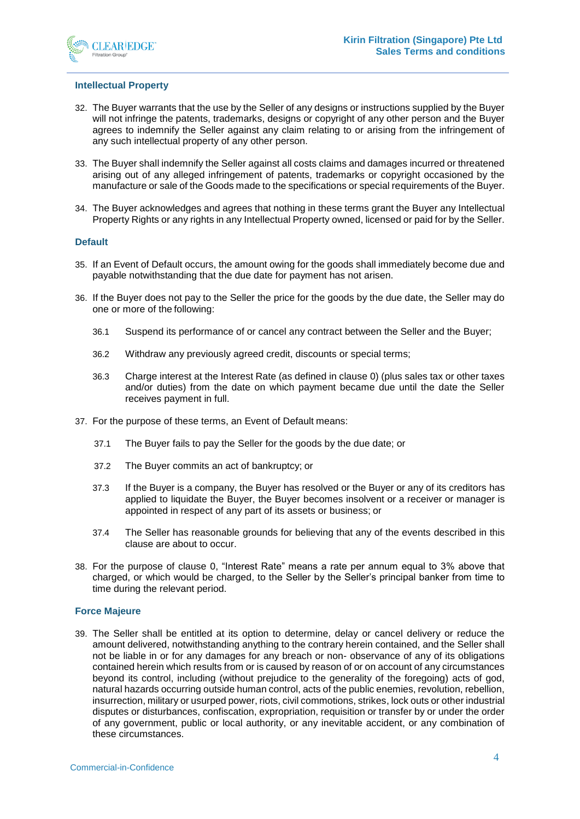

#### **Intellectual Property**

- 32. The Buyer warrants that the use by the Seller of any designs or instructions supplied by the Buyer will not infringe the patents, trademarks, designs or copyright of any other person and the Buyer agrees to indemnify the Seller against any claim relating to or arising from the infringement of any such intellectual property of any other person.
- 33. The Buyer shall indemnify the Seller against all costs claims and damages incurred or threatened arising out of any alleged infringement of patents, trademarks or copyright occasioned by the manufacture or sale of the Goods made to the specifications or special requirements of the Buyer.
- 34. The Buyer acknowledges and agrees that nothing in these terms grant the Buyer any Intellectual Property Rights or any rights in any Intellectual Property owned, licensed or paid for by the Seller.

#### <span id="page-3-0"></span>**Default**

- 35. If an Event of Default occurs, the amount owing for the goods shall immediately become due and payable notwithstanding that the due date for payment has not arisen.
- <span id="page-3-2"></span>36. If the Buyer does not pay to the Seller the price for the goods by the due date, the Seller may do one or more of the following:
	- 36.1 Suspend its performance of or cancel any contract between the Seller and the Buyer;
	- 36.2 Withdraw any previously agreed credit, discounts or special terms;
	- 36.3 Charge interest at the Interest Rate (as defined in clause [0\)](#page-3-1) (plus sales tax or other taxes and/or duties) from the date on which payment became due until the date the Seller receives payment in full.
- 37. For the purpose of these terms, an Event of Default means:
	- 37.1 The Buyer fails to pay the Seller for the goods by the due date; or
	- 37.2 The Buyer commits an act of bankruptcy; or
	- 37.3 If the Buyer is a company, the Buyer has resolved or the Buyer or any of its creditors has applied to liquidate the Buyer, the Buyer becomes insolvent or a receiver or manager is appointed in respect of any part of its assets or business; or
	- 37.4 The Seller has reasonable grounds for believing that any of the events described in this clause are about to occur.
- <span id="page-3-1"></span>38. For the purpose of clause [0,](#page-3-2) "Interest Rate" means a rate per annum equal to 3% above that charged, or which would be charged, to the Seller by the Seller's principal banker from time to time during the relevant period.

#### **Force Majeure**

39. The Seller shall be entitled at its option to determine, delay or cancel delivery or reduce the amount delivered, notwithstanding anything to the contrary herein contained, and the Seller shall not be liable in or for any damages for any breach or non- observance of any of its obligations contained herein which results from or is caused by reason of or on account of any circumstances beyond its control, including (without prejudice to the generality of the foregoing) acts of god, natural hazards occurring outside human control, acts of the public enemies, revolution, rebellion, insurrection, military or usurped power, riots, civil commotions, strikes, lock outs or other industrial disputes or disturbances, confiscation, expropriation, requisition or transfer by or under the order of any government, public or local authority, or any inevitable accident, or any combination of these circumstances.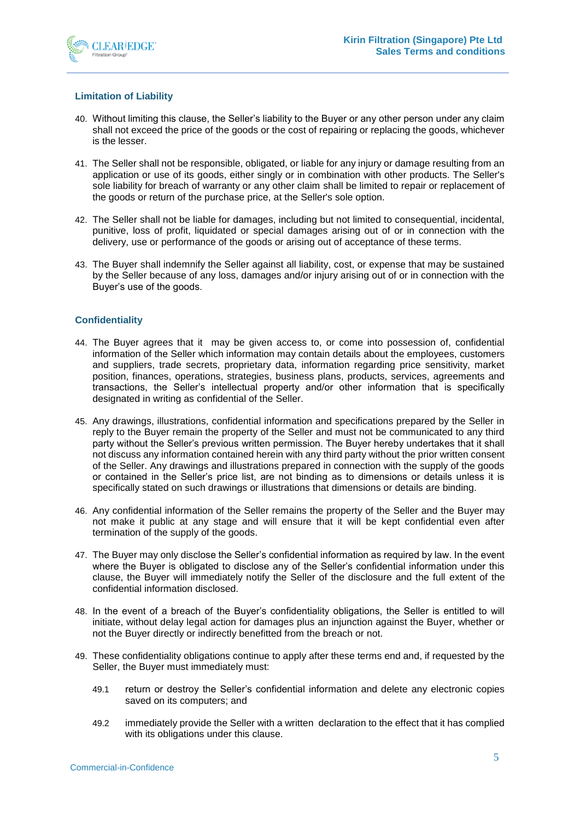

# **Limitation of Liability**

- 40. Without limiting this clause, the Seller's liability to the Buyer or any other person under any claim shall not exceed the price of the goods or the cost of repairing or replacing the goods, whichever is the lesser.
- 41. The Seller shall not be responsible, obligated, or liable for any injury or damage resulting from an application or use of its goods, either singly or in combination with other products. The Seller's sole liability for breach of warranty or any other claim shall be limited to repair or replacement of the goods or return of the purchase price, at the Seller's sole option.
- 42. The Seller shall not be liable for damages, including but not limited to consequential, incidental, punitive, loss of profit, liquidated or special damages arising out of or in connection with the delivery, use or performance of the goods or arising out of acceptance of these terms.
- 43. The Buyer shall indemnify the Seller against all liability, cost, or expense that may be sustained by the Seller because of any loss, damages and/or injury arising out of or in connection with the Buyer's use of the goods.

## **Confidentiality**

- 44. The Buyer agrees that it may be given access to, or come into possession of, confidential information of the Seller which information may contain details about the employees, customers and suppliers, trade secrets, proprietary data, information regarding price sensitivity, market position, finances, operations, strategies, business plans, products, services, agreements and transactions, the Seller's intellectual property and/or other information that is specifically designated in writing as confidential of the Seller.
- 45. Any drawings, illustrations, confidential information and specifications prepared by the Seller in reply to the Buyer remain the property of the Seller and must not be communicated to any third party without the Seller's previous written permission. The Buyer hereby undertakes that it shall not discuss any information contained herein with any third party without the prior written consent of the Seller. Any drawings and illustrations prepared in connection with the supply of the goods or contained in the Seller's price list, are not binding as to dimensions or details unless it is specifically stated on such drawings or illustrations that dimensions or details are binding.
- 46. Any confidential information of the Seller remains the property of the Seller and the Buyer may not make it public at any stage and will ensure that it will be kept confidential even after termination of the supply of the goods.
- 47. The Buyer may only disclose the Seller's confidential information as required by law. In the event where the Buyer is obligated to disclose any of the Seller's confidential information under this clause, the Buyer will immediately notify the Seller of the disclosure and the full extent of the confidential information disclosed.
- 48. In the event of a breach of the Buyer's confidentiality obligations, the Seller is entitled to will initiate, without delay legal action for damages plus an injunction against the Buyer, whether or not the Buyer directly or indirectly benefitted from the breach or not.
- 49. These confidentiality obligations continue to apply after these terms end and, if requested by the Seller, the Buyer must immediately must:
	- 49.1 return or destroy the Seller's confidential information and delete any electronic copies saved on its computers; and
	- 49.2 immediately provide the Seller with a written declaration to the effect that it has complied with its obligations under this clause.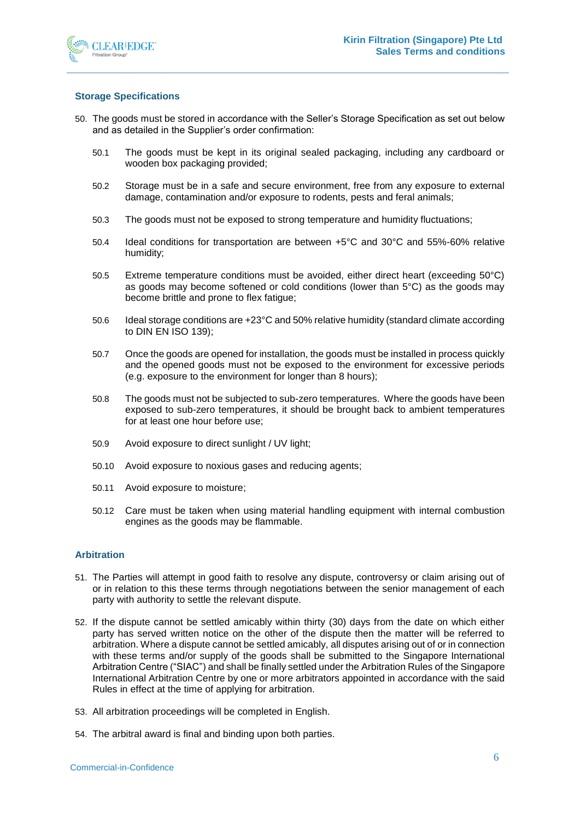

# **Storage Specifications**

- 50. The goods must be stored in accordance with the Seller's Storage Specification as set out below and as detailed in the Supplier's order confirmation:
	- 50.1 The goods must be kept in its original sealed packaging, including any cardboard or wooden box packaging provided;
	- 50.2 Storage must be in a safe and secure environment, free from any exposure to external damage, contamination and/or exposure to rodents, pests and feral animals;
	- 50.3 The goods must not be exposed to strong temperature and humidity fluctuations;
	- 50.4 Ideal conditions for transportation are between +5°C and 30°C and 55%-60% relative humidity;
	- 50.5 Extreme temperature conditions must be avoided, either direct heart (exceeding 50°C) as goods may become softened or cold conditions (lower than 5°C) as the goods may become brittle and prone to flex fatigue;
	- 50.6 Ideal storage conditions are +23°C and 50% relative humidity (standard climate according to DIN EN ISO 139);
	- 50.7 Once the goods are opened for installation, the goods must be installed in process quickly and the opened goods must not be exposed to the environment for excessive periods (e.g. exposure to the environment for longer than 8 hours);
	- 50.8 The goods must not be subjected to sub-zero temperatures. Where the goods have been exposed to sub-zero temperatures, it should be brought back to ambient temperatures for at least one hour before use;
	- 50.9 Avoid exposure to direct sunlight / UV light;
	- 50.10 Avoid exposure to noxious gases and reducing agents;
	- 50.11 Avoid exposure to moisture;
	- 50.12 Care must be taken when using material handling equipment with internal combustion engines as the goods may be flammable.

## **Arbitration**

- 51. The Parties will attempt in good faith to resolve any dispute, controversy or claim arising out of or in relation to this these terms through negotiations between the senior management of each party with authority to settle the relevant dispute.
- 52. If the dispute cannot be settled amicably within thirty (30) days from the date on which either party has served written notice on the other of the dispute then the matter will be referred to arbitration. Where a dispute cannot be settled amicably, all disputes arising out of or in connection with these terms and/or supply of the goods shall be submitted to the Singapore International Arbitration Centre ("SIAC") and shall be finally settled under the Arbitration Rules of the Singapore International Arbitration Centre by one or more arbitrators appointed in accordance with the said Rules in effect at the time of applying for arbitration.
- 53. All arbitration proceedings will be completed in English.
- 54. The arbitral award is final and binding upon both parties.